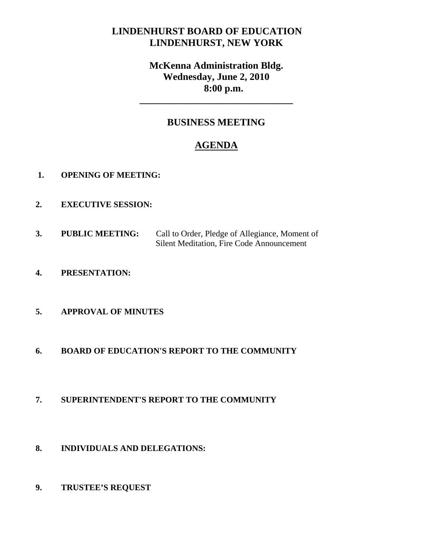# **LINDENHURST BOARD OF EDUCATION LINDENHURST, NEW YORK**

# **McKenna Administration Bldg. Wednesday, June 2, 2010 8:00 p.m.**

# **BUSINESS MEETING**

**\_\_\_\_\_\_\_\_\_\_\_\_\_\_\_\_\_\_\_\_\_\_\_\_\_\_\_\_\_\_\_** 

# **AGENDA**

- **1. OPENING OF MEETING:**
- **2. EXECUTIVE SESSION:**
- **3. PUBLIC MEETING:** Call to Order, Pledge of Allegiance, Moment of Silent Meditation, Fire Code Announcement
- **4. PRESENTATION:**

# **5. APPROVAL OF MINUTES**

- **6. BOARD OF EDUCATION'S REPORT TO THE COMMUNITY**
- **7. SUPERINTENDENT'S REPORT TO THE COMMUNITY**
- **8. INDIVIDUALS AND DELEGATIONS:**
- **9. TRUSTEE'S REQUEST**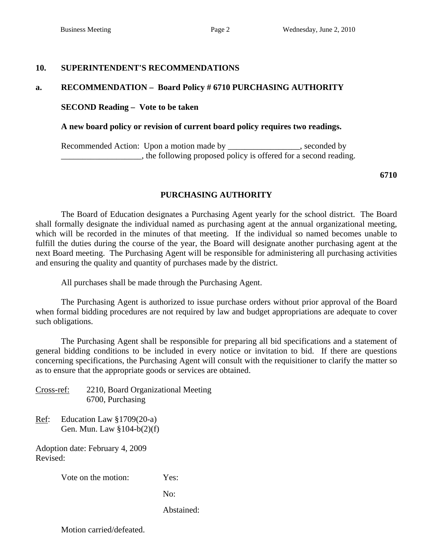### **10. SUPERINTENDENT'S RECOMMENDATIONS**

### **a. RECOMMENDATION – Board Policy # 6710 PURCHASING AUTHORITY**

### **SECOND Reading – Vote to be taken**

#### **A new board policy or revision of current board policy requires two readings.**

Recommended Action: Upon a motion made by \_\_\_\_\_\_\_\_\_\_\_\_\_\_, seconded by \_\_\_\_\_\_\_\_\_\_\_\_\_\_\_\_\_\_\_, the following proposed policy is offered for a second reading.

**6710** 

### **PURCHASING AUTHORITY**

 The Board of Education designates a Purchasing Agent yearly for the school district. The Board shall formally designate the individual named as purchasing agent at the annual organizational meeting, which will be recorded in the minutes of that meeting. If the individual so named becomes unable to fulfill the duties during the course of the year, the Board will designate another purchasing agent at the next Board meeting. The Purchasing Agent will be responsible for administering all purchasing activities and ensuring the quality and quantity of purchases made by the district.

All purchases shall be made through the Purchasing Agent.

 The Purchasing Agent is authorized to issue purchase orders without prior approval of the Board when formal bidding procedures are not required by law and budget appropriations are adequate to cover such obligations.

 The Purchasing Agent shall be responsible for preparing all bid specifications and a statement of general bidding conditions to be included in every notice or invitation to bid. If there are questions concerning specifications, the Purchasing Agent will consult with the requisitioner to clarify the matter so as to ensure that the appropriate goods or services are obtained.

Cross-ref: 2210, Board Organizational Meeting 6700, Purchasing

Ref: Education Law §1709(20-a) Gen. Mun. Law §104-b(2)(f)

Adoption date: February 4, 2009 Revised:

Vote on the motion: Yes:

No:

Abstained: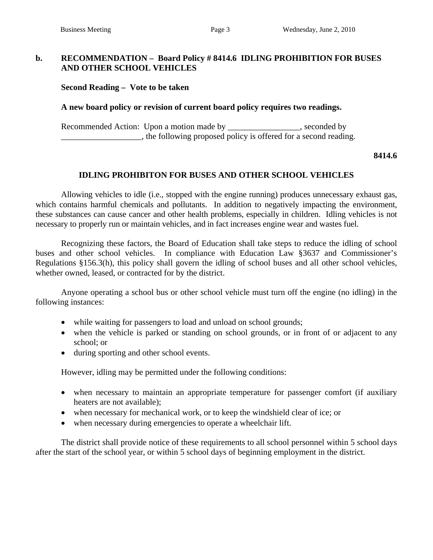### **b. RECOMMENDATION – Board Policy # 8414.6 IDLING PROHIBITION FOR BUSES AND OTHER SCHOOL VEHICLES**

 **Second Reading – Vote to be taken** 

### **A new board policy or revision of current board policy requires two readings.**

Recommended Action: Upon a motion made by \_\_\_\_\_\_\_\_\_\_\_\_\_\_\_, seconded by \_\_\_\_\_\_\_\_\_\_\_\_\_\_\_\_\_\_\_, the following proposed policy is offered for a second reading.

#### **8414.6**

### **IDLING PROHIBITON FOR BUSES AND OTHER SCHOOL VEHICLES**

 Allowing vehicles to idle (i.e., stopped with the engine running) produces unnecessary exhaust gas, which contains harmful chemicals and pollutants. In addition to negatively impacting the environment, these substances can cause cancer and other health problems, especially in children. Idling vehicles is not necessary to properly run or maintain vehicles, and in fact increases engine wear and wastes fuel.

 Recognizing these factors, the Board of Education shall take steps to reduce the idling of school buses and other school vehicles. In compliance with Education Law §3637 and Commissioner's Regulations §156.3(h), this policy shall govern the idling of school buses and all other school vehicles, whether owned, leased, or contracted for by the district.

 Anyone operating a school bus or other school vehicle must turn off the engine (no idling) in the following instances:

- while waiting for passengers to load and unload on school grounds;
- when the vehicle is parked or standing on school grounds, or in front of or adjacent to any school; or
- during sporting and other school events.

However, idling may be permitted under the following conditions:

- when necessary to maintain an appropriate temperature for passenger comfort (if auxiliary heaters are not available);
- when necessary for mechanical work, or to keep the windshield clear of ice; or
- when necessary during emergencies to operate a wheelchair lift.

 The district shall provide notice of these requirements to all school personnel within 5 school days after the start of the school year, or within 5 school days of beginning employment in the district.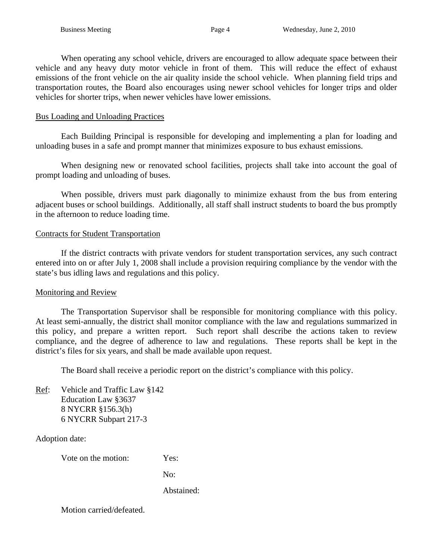When operating any school vehicle, drivers are encouraged to allow adequate space between their vehicle and any heavy duty motor vehicle in front of them. This will reduce the effect of exhaust emissions of the front vehicle on the air quality inside the school vehicle. When planning field trips and transportation routes, the Board also encourages using newer school vehicles for longer trips and older vehicles for shorter trips, when newer vehicles have lower emissions.

### Bus Loading and Unloading Practices

 Each Building Principal is responsible for developing and implementing a plan for loading and unloading buses in a safe and prompt manner that minimizes exposure to bus exhaust emissions.

 When designing new or renovated school facilities, projects shall take into account the goal of prompt loading and unloading of buses.

 When possible, drivers must park diagonally to minimize exhaust from the bus from entering adjacent buses or school buildings. Additionally, all staff shall instruct students to board the bus promptly in the afternoon to reduce loading time.

### Contracts for Student Transportation

 If the district contracts with private vendors for student transportation services, any such contract entered into on or after July 1, 2008 shall include a provision requiring compliance by the vendor with the state's bus idling laws and regulations and this policy.

### Monitoring and Review

 The Transportation Supervisor shall be responsible for monitoring compliance with this policy. At least semi-annually, the district shall monitor compliance with the law and regulations summarized in this policy, and prepare a written report. Such report shall describe the actions taken to review compliance, and the degree of adherence to law and regulations. These reports shall be kept in the district's files for six years, and shall be made available upon request.

The Board shall receive a periodic report on the district's compliance with this policy.

Ref: Vehicle and Traffic Law §142 Education Law §3637 8 NYCRR §156.3(h) 6 NYCRR Subpart 217-3

Adoption date:

Vote on the motion: Yes:

No:

Abstained: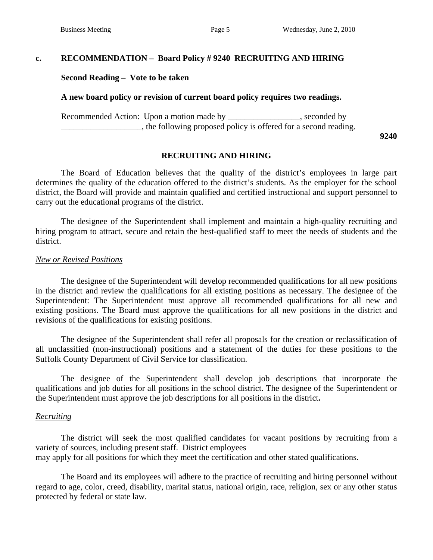# **c. RECOMMENDATION – Board Policy # 9240 RECRUITING AND HIRING**

 **Second Reading – Vote to be taken** 

### **A new board policy or revision of current board policy requires two readings.**

Recommended Action: Upon a motion made by \_\_\_\_\_\_\_\_\_\_\_\_\_\_\_\_, seconded by **Example 2.1**, the following proposed policy is offered for a second reading.

**9240** 

# **RECRUITING AND HIRING**

The Board of Education believes that the quality of the district's employees in large part determines the quality of the education offered to the district's students. As the employer for the school district, the Board will provide and maintain qualified and certified instructional and support personnel to carry out the educational programs of the district.

The designee of the Superintendent shall implement and maintain a high-quality recruiting and hiring program to attract, secure and retain the best-qualified staff to meet the needs of students and the district.

### *New or Revised Positions*

The designee of the Superintendent will develop recommended qualifications for all new positions in the district and review the qualifications for all existing positions as necessary. The designee of the Superintendent: The Superintendent must approve all recommended qualifications for all new and existing positions. The Board must approve the qualifications for all new positions in the district and revisions of the qualifications for existing positions.

The designee of the Superintendent shall refer all proposals for the creation or reclassification of all unclassified (non-instructional) positions and a statement of the duties for these positions to the Suffolk County Department of Civil Service for classification.

The designee of the Superintendent shall develop job descriptions that incorporate the qualifications and job duties for all positions in the school district. The designee of the Superintendent or the Superintendent must approve the job descriptions for all positions in the district**.**

### *Recruiting*

The district will seek the most qualified candidates for vacant positions by recruiting from a variety of sources, including present staff. District employees may apply for all positions for which they meet the certification and other stated qualifications.

 The Board and its employees will adhere to the practice of recruiting and hiring personnel without regard to age, color, creed, disability, marital status, national origin, race, religion, sex or any other status protected by federal or state law.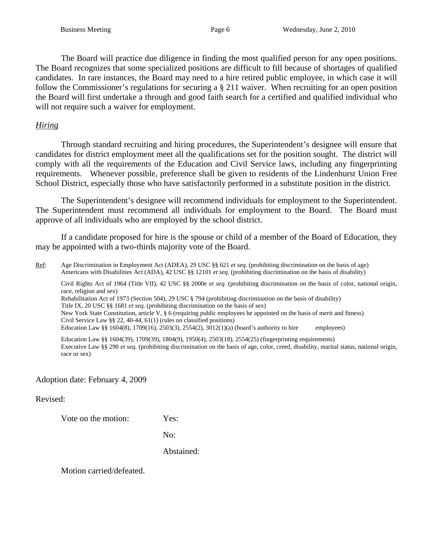The Board will practice due diligence in finding the most qualified person for any open positions. The Board recognizes that some specialized positions are difficult to fill because of shortages of qualified candidates. In rare instances, the Board may need to a hire retired public employee, in which case it will follow the Commissioner's regulations for securing a § 211 waiver. When recruiting for an open position the Board will first undertake a through and good faith search for a certified and qualified individual who will not require such a waiver for employment.

# *Hiring*

Through standard recruiting and hiring procedures, the Superintendent's designee will ensure that candidates for district employment meet all the qualifications set for the position sought. The district will comply with all the requirements of the Education and Civil Service laws, including any fingerprinting requirements. Whenever possible, preference shall be given to residents of the Lindenhurst Union Free School District, especially those who have satisfactorily performed in a substitute position in the district.

The Superintendent's designee will recommend individuals for employment to the Superintendent. The Superintendent must recommend all individuals for employment to the Board. The Board must approve of all individuals who are employed by the school district.

If a candidate proposed for hire is the spouse or child of a member of the Board of Education, they may be appointed with a two-thirds majority vote of the Board.

Ref: Age Discrimination in Employment Act (ADEA), 29 USC §§ 621 *et seq.* (prohibiting discrimination on the basis of age) Americans with Disabilities Act (ADA), 42 USC §§ 12101 *et seq.* (prohibiting discrimination on the basis of disability)

Civil Rights Act of 1964 (Title VII), 42 USC §§ 2000e *et seq.* (prohibiting discrimination on the basis of color, national origin, race, religion and sex) Rehabilitation Act of 1973 (Section 504), 29 USC § 794 (prohibiting discrimination on the basis of disability) Title IX, 20 USC §§ 1681 *et seq.* (prohibiting discrimination on the basis of sex) New York State Constitution, article V, § 6 (requiring public employees be appointed on the basis of merit and fitness) Civil Service Law §§ 22, 40-44, 61(1) (rules on classified positions) Education Law §§ 1604(8), 1709(16), 2503(3), 2554(2), 3012(1)(a) (board's authority to hire employees)

Education Law §§ 1604(39), 1709(39), 1804(9), 1950(4), 2503(18), 2554(25) (fingerprinting requirements) Executive Law §§ 290 *et seq.* (prohibiting discrimination on the basis of age, color, creed, disability, marital status, national origin, race or sex)

Adoption date: February 4, 2009

Revised:

Vote on the motion: Yes:

No:

Abstained: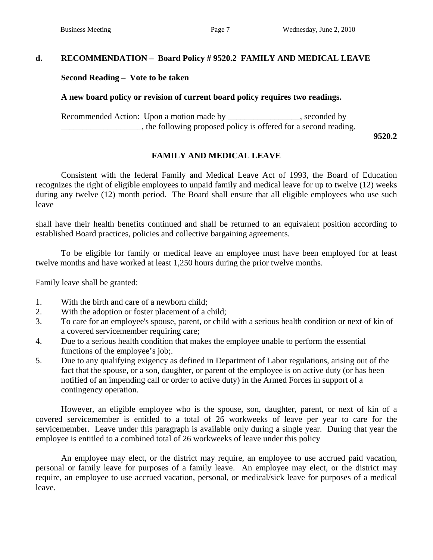# **d. RECOMMENDATION – Board Policy # 9520.2 FAMILY AND MEDICAL LEAVE**

### **Second Reading – Vote to be taken**

### **A new board policy or revision of current board policy requires two readings.**

Recommended Action: Upon a motion made by \_\_\_\_\_\_\_\_\_\_\_\_\_\_\_, seconded by **Example 2.1**, the following proposed policy is offered for a second reading.

 **9520.2** 

# **FAMILY AND MEDICAL LEAVE**

Consistent with the federal Family and Medical Leave Act of 1993, the Board of Education recognizes the right of eligible employees to unpaid family and medical leave for up to twelve (12) weeks during any twelve (12) month period. The Board shall ensure that all eligible employees who use such leave

shall have their health benefits continued and shall be returned to an equivalent position according to established Board practices, policies and collective bargaining agreements.

 To be eligible for family or medical leave an employee must have been employed for at least twelve months and have worked at least 1,250 hours during the prior twelve months.

Family leave shall be granted:

- 1. With the birth and care of a newborn child;
- 2. With the adoption or foster placement of a child;
- 3. To care for an employee's spouse, parent, or child with a serious health condition or next of kin of a covered servicemember requiring care;
- 4. Due to a serious health condition that makes the employee unable to perform the essential functions of the employee's job;.
- 5. Due to any qualifying exigency as defined in Department of Labor regulations, arising out of the fact that the spouse, or a son, daughter, or parent of the employee is on active duty (or has been notified of an impending call or order to active duty) in the Armed Forces in support of a contingency operation.

 However, an eligible employee who is the spouse, son, daughter, parent, or next of kin of a covered servicemember is entitled to a total of 26 workweeks of leave per year to care for the servicemember. Leave under this paragraph is available only during a single year. During that year the employee is entitled to a combined total of 26 workweeks of leave under this policy

An employee may elect, or the district may require, an employee to use accrued paid vacation, personal or family leave for purposes of a family leave. An employee may elect, or the district may require, an employee to use accrued vacation, personal, or medical/sick leave for purposes of a medical leave.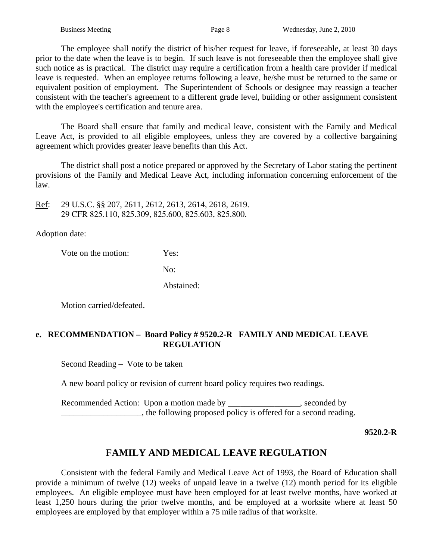The employee shall notify the district of his/her request for leave, if foreseeable, at least 30 days prior to the date when the leave is to begin. If such leave is not foreseeable then the employee shall give such notice as is practical. The district may require a certification from a health care provider if medical leave is requested. When an employee returns following a leave, he/she must be returned to the same or equivalent position of employment. The Superintendent of Schools or designee may reassign a teacher consistent with the teacher's agreement to a different grade level, building or other assignment consistent with the employee's certification and tenure area.

 The Board shall ensure that family and medical leave, consistent with the Family and Medical Leave Act, is provided to all eligible employees, unless they are covered by a collective bargaining agreement which provides greater leave benefits than this Act.

The district shall post a notice prepared or approved by the Secretary of Labor stating the pertinent provisions of the Family and Medical Leave Act, including information concerning enforcement of the law.

Ref: 29 U.S.C. §§ 207, 2611, 2612, 2613, 2614, 2618, 2619. 29 CFR 825.110, 825.309, 825.600, 825.603, 825.800.

Adoption date:

Vote on the motion: Yes:

No:

Abstained:

Motion carried/defeated.

# **e. RECOMMENDATION – Board Policy # 9520.2-R FAMILY AND MEDICAL LEAVE REGULATION**

Second Reading – Vote to be taken

A new board policy or revision of current board policy requires two readings.

Recommended Action: Upon a motion made by \_\_\_\_\_\_\_\_\_\_\_\_\_\_\_, seconded by \_\_\_\_\_\_\_\_\_\_\_\_\_\_\_\_\_\_\_, the following proposed policy is offered for a second reading.

 **9520.2-R** 

# **FAMILY AND MEDICAL LEAVE REGULATION**

Consistent with the federal Family and Medical Leave Act of 1993, the Board of Education shall provide a minimum of twelve (12) weeks of unpaid leave in a twelve (12) month period for its eligible employees. An eligible employee must have been employed for at least twelve months, have worked at least 1,250 hours during the prior twelve months, and be employed at a worksite where at least 50 employees are employed by that employer within a 75 mile radius of that worksite.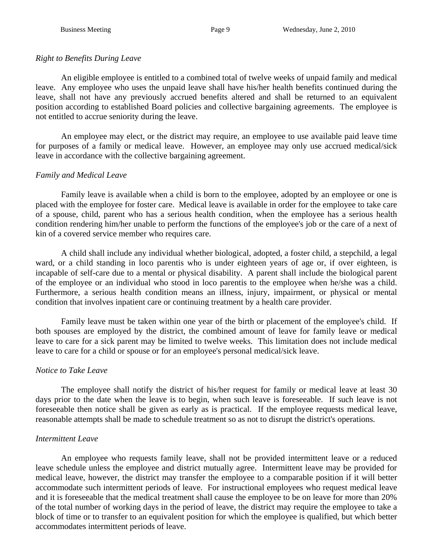# *Right to Benefits During Leave*

 An eligible employee is entitled to a combined total of twelve weeks of unpaid family and medical leave. Any employee who uses the unpaid leave shall have his/her health benefits continued during the leave, shall not have any previously accrued benefits altered and shall be returned to an equivalent position according to established Board policies and collective bargaining agreements. The employee is not entitled to accrue seniority during the leave.

 An employee may elect, or the district may require, an employee to use available paid leave time for purposes of a family or medical leave. However, an employee may only use accrued medical/sick leave in accordance with the collective bargaining agreement.

# *Family and Medical Leave*

 Family leave is available when a child is born to the employee, adopted by an employee or one is placed with the employee for foster care. Medical leave is available in order for the employee to take care of a spouse, child, parent who has a serious health condition, when the employee has a serious health condition rendering him/her unable to perform the functions of the employee's job or the care of a next of kin of a covered service member who requires care.

 A child shall include any individual whether biological, adopted, a foster child, a stepchild, a legal ward, or a child standing in loco parentis who is under eighteen years of age or, if over eighteen, is incapable of self-care due to a mental or physical disability. A parent shall include the biological parent of the employee or an individual who stood in loco parentis to the employee when he/she was a child. Furthermore, a serious health condition means an illness, injury, impairment, or physical or mental condition that involves inpatient care or continuing treatment by a health care provider.

 Family leave must be taken within one year of the birth or placement of the employee's child. If both spouses are employed by the district, the combined amount of leave for family leave or medical leave to care for a sick parent may be limited to twelve weeks. This limitation does not include medical leave to care for a child or spouse or for an employee's personal medical/sick leave.

# *Notice to Take Leave*

 The employee shall notify the district of his/her request for family or medical leave at least 30 days prior to the date when the leave is to begin, when such leave is foreseeable. If such leave is not foreseeable then notice shall be given as early as is practical. If the employee requests medical leave, reasonable attempts shall be made to schedule treatment so as not to disrupt the district's operations.

# *Intermittent Leave*

 An employee who requests family leave, shall not be provided intermittent leave or a reduced leave schedule unless the employee and district mutually agree. Intermittent leave may be provided for medical leave, however, the district may transfer the employee to a comparable position if it will better accommodate such intermittent periods of leave. For instructional employees who request medical leave and it is foreseeable that the medical treatment shall cause the employee to be on leave for more than 20% of the total number of working days in the period of leave, the district may require the employee to take a block of time or to transfer to an equivalent position for which the employee is qualified, but which better accommodates intermittent periods of leave.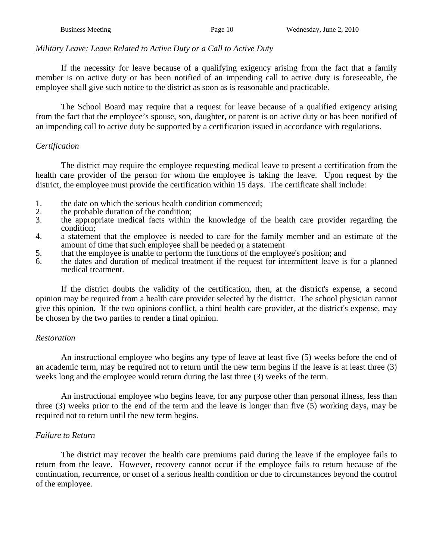### *Military Leave: Leave Related to Active Duty or a Call to Active Duty*

 If the necessity for leave because of a qualifying exigency arising from the fact that a family member is on active duty or has been notified of an impending call to active duty is foreseeable, the employee shall give such notice to the district as soon as is reasonable and practicable.

 The School Board may require that a request for leave because of a qualified exigency arising from the fact that the employee's spouse, son, daughter, or parent is on active duty or has been notified of an impending call to active duty be supported by a certification issued in accordance with regulations.

### *Certification*

 The district may require the employee requesting medical leave to present a certification from the health care provider of the person for whom the employee is taking the leave. Upon request by the district, the employee must provide the certification within 15 days. The certificate shall include:

- 1. the date on which the serious health condition commenced;<br>2. the probable duration of the condition:
- 2. the probable duration of the condition;<br>3. the appropriate medical facts within
- 3. the appropriate medical facts within the knowledge of the health care provider regarding the condition;
- 4. a statement that the employee is needed to care for the family member and an estimate of the amount of time that such employee shall be needed or a statement
- 5. that the employee is unable to perform the functions of the employee's position; and
- 6. the dates and duration of medical treatment if the request for intermittent leave is for a planned medical treatment.

If the district doubts the validity of the certification, then, at the district's expense, a second opinion may be required from a health care provider selected by the district. The school physician cannot give this opinion. If the two opinions conflict, a third health care provider, at the district's expense, may be chosen by the two parties to render a final opinion.

### *Restoration*

 An instructional employee who begins any type of leave at least five (5) weeks before the end of an academic term, may be required not to return until the new term begins if the leave is at least three (3) weeks long and the employee would return during the last three (3) weeks of the term.

An instructional employee who begins leave, for any purpose other than personal illness, less than three (3) weeks prior to the end of the term and the leave is longer than five (5) working days, may be required not to return until the new term begins.

# *Failure to Return*

 The district may recover the health care premiums paid during the leave if the employee fails to return from the leave. However, recovery cannot occur if the employee fails to return because of the continuation, recurrence, or onset of a serious health condition or due to circumstances beyond the control of the employee.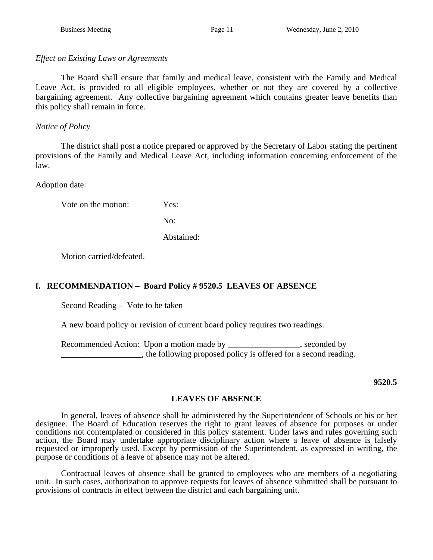# *Effect on Existing Laws or Agreements*

 The Board shall ensure that family and medical leave, consistent with the Family and Medical Leave Act, is provided to all eligible employees, whether or not they are covered by a collective bargaining agreement. Any collective bargaining agreement which contains greater leave benefits than this policy shall remain in force.

# *Notice of Policy*

 The district shall post a notice prepared or approved by the Secretary of Labor stating the pertinent provisions of the Family and Medical Leave Act, including information concerning enforcement of the law.

Adoption date:

Vote on the motion: Yes:

No:

Abstained:

Motion carried/defeated.

# **f. RECOMMENDATION – Board Policy # 9520.5 LEAVES OF ABSENCE**

Second Reading – Vote to be taken

A new board policy or revision of current board policy requires two readings.

Recommended Action: Upon a motion made by \_\_\_\_\_\_\_\_\_\_\_\_\_\_\_\_, seconded by \_\_\_\_\_\_\_\_\_\_\_\_\_\_\_\_\_\_\_, the following proposed policy is offered for a second reading.

 **9520.5** 

# **LEAVES OF ABSENCE**

 In general, leaves of absence shall be administered by the Superintendent of Schools or his or her designee. The Board of Education reserves the right to grant leaves of absence for purposes or under conditions not contemplated or considered in this policy statement. Under laws and rules governing such action, the Board may undertake appropriate disciplinary action where a leave of absence is falsely requested or improperly used. Except by permission of the Superintendent, as expressed in writing, the purpose or conditions of a leave of absence may not be altered.

 Contractual leaves of absence shall be granted to employees who are members of a negotiating unit. In such cases, authorization to approve requests for leaves of absence submitted shall be pursuant to provisions of contracts in effect between the district and each bargaining unit.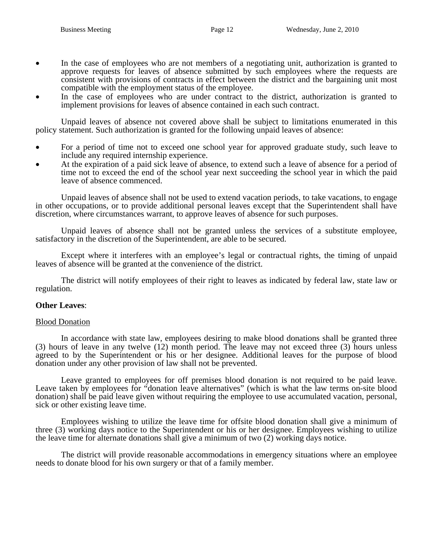- In the case of employees who are not members of a negotiating unit, authorization is granted to approve requests for leaves of absence submitted by such employees where the requests are consistent with provisions of contracts in effect between the district and the bargaining unit most compatible with the employment status of the employee.
- In the case of employees who are under contract to the district, authorization is granted to implement provisions for leaves of absence contained in each such contract.

 Unpaid leaves of absence not covered above shall be subject to limitations enumerated in this policy statement. Such authorization is granted for the following unpaid leaves of absence:

- For a period of time not to exceed one school year for approved graduate study, such leave to include any required internship experience.
- At the expiration of a paid sick leave of absence, to extend such a leave of absence for a period of time not to exceed the end of the school year next succeeding the school year in which the paid leave of absence commenced.

 Unpaid leaves of absence shall not be used to extend vacation periods, to take vacations, to engage in other occupations, or to provide additional personal leaves except that the Superintendent shall have discretion, where circumstances warrant, to approve leaves of absence for such purposes.

 Unpaid leaves of absence shall not be granted unless the services of a substitute employee, satisfactory in the discretion of the Superintendent, are able to be secured.

 Except where it interferes with an employee's legal or contractual rights, the timing of unpaid leaves of absence will be granted at the convenience of the district.

 The district will notify employees of their right to leaves as indicated by federal law, state law or regulation.

### **Other Leaves**:

#### Blood Donation

In accordance with state law, employees desiring to make blood donations shall be granted three (3) hours of leave in any twelve (12) month period. The leave may not exceed three (3) hours unless agreed to by the Superintendent or his or her designee. Additional leaves for the purpose of blood donation under any other provision of law shall not be prevented.

Leave granted to employees for off premises blood donation is not required to be paid leave. Leave taken by employees for "donation leave alternatives" (which is what the law terms on-site blood donation) shall be paid leave given without requiring the employee to use accumulated vacation, personal, sick or other existing leave time.

Employees wishing to utilize the leave time for offsite blood donation shall give a minimum of three (3) working days notice to the Superintendent or his or her designee. Employees wishing to utilize the leave time for alternate donations shall give a minimum of two (2) working days notice.

The district will provide reasonable accommodations in emergency situations where an employee needs to donate blood for his own surgery or that of a family member.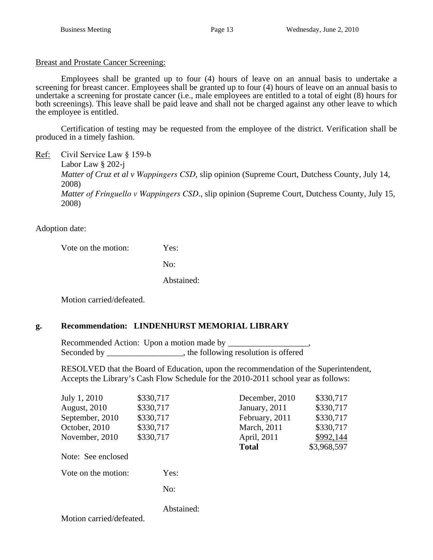Breast and Prostate Cancer Screening:

Employees shall be granted up to four (4) hours of leave on an annual basis to undertake a screening for breast cancer. Employees shall be granted up to four (4) hours of leave on an annual basis to undertake a screening for prostate cancer (i.e., male employees are entitled to a total of eight (8) hours for both screenings). This leave shall be paid leave and shall not be charged against any other leave to which the employee is entitled.

 Certification of testing may be requested from the employee of the district. Verification shall be produced in a timely fashion.

Ref: Civil Service Law § 159-b Labor Law § 202-j *Matter of Cruz et al v Wappingers CSD*, slip opinion (Supreme Court, Dutchess County, July 14, 2008) *Matter of Fringuello v Wappingers CSD*., slip opinion (Supreme Court, Dutchess County, July 15, 2008)

Adoption date:

Vote on the motion: Yes:

No:

Abstained:

Motion carried/defeated.

# **g. Recommendation: LINDENHURST MEMORIAL LIBRARY**

Recommended Action: Upon a motion made by Seconded by the following resolution is offered

RESOLVED that the Board of Education, upon the recommendation of the Superintendent, Accepts the Library's Cash Flow Schedule for the 2010-2011 school year as follows:

| July 1, 2010            | \$330,717  | December, 2010 | \$330,717   |
|-------------------------|------------|----------------|-------------|
| <b>August, 2010</b>     | \$330,717  | January, 2011  | \$330,717   |
| September, 2010         | \$330,717  | February, 2011 | \$330,717   |
| October, 2010           | \$330,717  | March, 2011    | \$330,717   |
| November, 2010          | \$330,717  | April, 2011    | \$992,144   |
|                         |            | <b>Total</b>   | \$3,968,597 |
| Note: See enclosed      |            |                |             |
| Vote on the motion:     | Yes:       |                |             |
|                         | No:        |                |             |
| Motion carried/defeated | Abstained: |                |             |
|                         |            |                |             |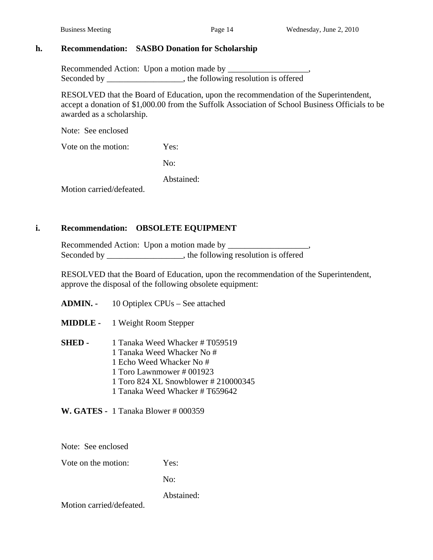# **h. Recommendation: SASBO Donation for Scholarship**

 Recommended Action: Upon a motion made by \_\_\_\_\_\_\_\_\_\_\_\_\_\_\_\_\_\_\_, Seconded by the following resolution is offered

RESOLVED that the Board of Education, upon the recommendation of the Superintendent, accept a donation of \$1,000.00 from the Suffolk Association of School Business Officials to be awarded as a scholarship.

Note: See enclosed

Vote on the motion: Yes:

No:

Abstained:

Motion carried/defeated.

# **i. Recommendation: OBSOLETE EQUIPMENT**

Recommended Action: Upon a motion made by Seconded by \_\_\_\_\_\_\_\_\_\_\_\_\_\_\_, the following resolution is offered

RESOLVED that the Board of Education, upon the recommendation of the Superintendent, approve the disposal of the following obsolete equipment:

- **ADMIN.** 10 Optiplex CPUs See attached
- **MIDDLE** 1 Weight Room Stepper
- **SHED** 1 Tanaka Weed Whacker # T059519 1 Tanaka Weed Whacker No # 1 Echo Weed Whacker No # 1 Toro Lawnmower # 001923 1 Toro 824 XL Snowblower # 210000345 1 Tanaka Weed Whacker # T659642

 **W. GATES -** 1 Tanaka Blower # 000359

Note: See enclosed

Vote on the motion: Yes:

No:

Abstained: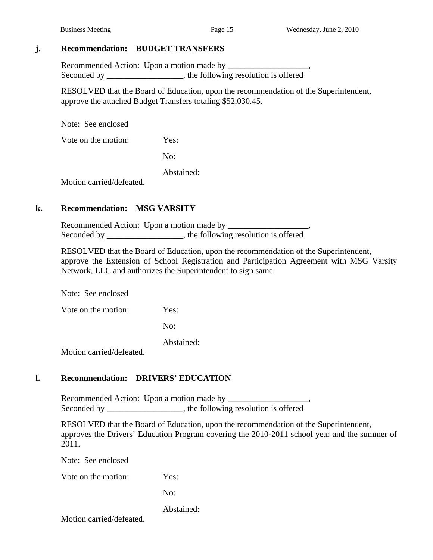### **j. Recommendation: BUDGET TRANSFERS**

 Recommended Action: Upon a motion made by \_\_\_\_\_\_\_\_\_\_\_\_\_\_\_\_\_\_\_, Seconded by \_\_\_\_\_\_\_\_\_\_\_\_\_\_\_\_\_, the following resolution is offered

RESOLVED that the Board of Education, upon the recommendation of the Superintendent, approve the attached Budget Transfers totaling \$52,030.45.

Note: See enclosed

Vote on the motion: Yes:

No:

Abstained:

Motion carried/defeated.

### **k. Recommendation: MSG VARSITY**

 Recommended Action: Upon a motion made by \_\_\_\_\_\_\_\_\_\_\_\_\_\_\_\_\_\_\_, Seconded by \_\_\_\_\_\_\_\_\_\_\_\_\_\_\_, the following resolution is offered

RESOLVED that the Board of Education, upon the recommendation of the Superintendent, approve the Extension of School Registration and Participation Agreement with MSG Varsity Network, LLC and authorizes the Superintendent to sign same.

Note: See enclosed

Vote on the motion: Yes:

No:

Abstained:

Motion carried/defeated.

### **l. Recommendation: DRIVERS' EDUCATION**

Recommended Action: Upon a motion made by Seconded by \_\_\_\_\_\_\_\_\_\_\_\_\_\_, the following resolution is offered

RESOLVED that the Board of Education, upon the recommendation of the Superintendent, approves the Drivers' Education Program covering the 2010-2011 school year and the summer of 2011.

Note: See enclosed

Vote on the motion: Yes:

No:

Abstained: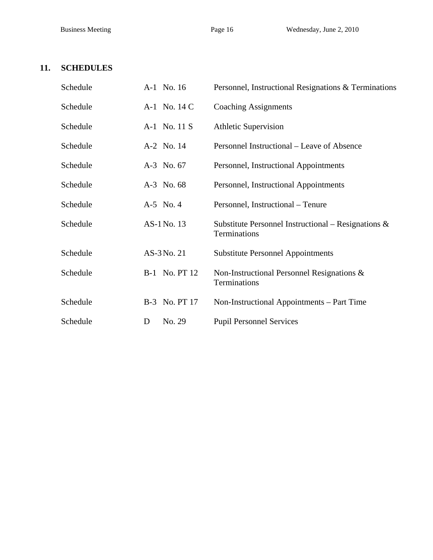# **11. SCHEDULES**

| Schedule | A-1 No. 16           | Personnel, Instructional Resignations & Terminations                   |
|----------|----------------------|------------------------------------------------------------------------|
| Schedule | A-1 No. 14 C         | <b>Coaching Assignments</b>                                            |
| Schedule | A-1 No. 11 S         | <b>Athletic Supervision</b>                                            |
| Schedule | A-2 No. 14           | Personnel Instructional – Leave of Absence                             |
| Schedule | A-3 No. 67           | Personnel, Instructional Appointments                                  |
| Schedule | A-3 No. 68           | Personnel, Instructional Appointments                                  |
| Schedule | A-5 No. 4            | Personnel, Instructional – Tenure                                      |
| Schedule | AS-1 No. 13          | Substitute Personnel Instructional – Resignations $\&$<br>Terminations |
| Schedule | AS-3 No. 21          | <b>Substitute Personnel Appointments</b>                               |
| Schedule | <b>B-1</b> No. PT 12 | Non-Instructional Personnel Resignations &<br>Terminations             |
| Schedule | B-3 No. PT 17        | Non-Instructional Appointments – Part Time                             |
| Schedule | No. 29<br>D          | <b>Pupil Personnel Services</b>                                        |